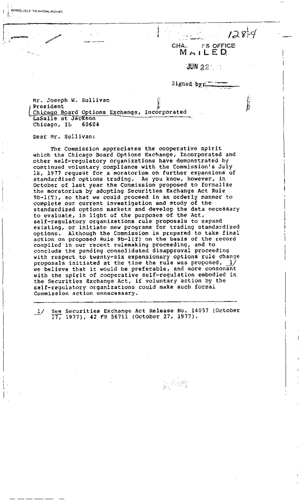**'JUN 2 2** " i :::" '."~

' " . . .\_\_ -\_~,.,,.,~.~.\_~ : !' -.. i- . CHA, I'S OFFICE **M ILED,** 

Signed by:

J.

Mr. Joseph W. Sullivan President Chicago Board Options Exchange, Incorporated LaSalle at Jackson<br>Chicago, IL 60604 Chicago, IL

[ii; .... **/** ! .', **I** ;, , , . ~,( ,:~ - ."

Dear Mr. Sullivan:

~[. REPRODUCED AT THE NATIONAL ARCHIVES

v-- . ...... ....

f.':-. ,.

The Commission appreciates the cooperative spirit which the Chicago Board Options Exchange, Incorporated and other self-regulatory organizations have demonstrated by continued voluntary compliance with the Commission's July 18, 1977 request for a moratorium on further expansions of standardized options trading. As you know, however, in October of last year the Commission proposed to formalize the moratorium by adopting Securities Exchange Act Rule 9b-l(T), so that we could proceed in an orderly manner to complete our current investigation and study of the standardized options markets and develop the data necessary to evaluate, in light of the purposes of the Act, self-regulatory organizations rule proposals to expand existing, or initiate new programs for trading standardized options. Although the Commission is prepared to take final action on proposed Rule 9b-l(T) On the basis of the record compiled in our recent rulemaking proceeding, and to conclude the pending consolidated disapproval proceeding with respect to twenty-six expansionary options rule change proposals initiated at the time the rule was proposed,  $\_1/$ we believe that it would be preferable, and more consonant with the spirit of cooperative self-regulation embodied in the Securities Exchange Act, if voluntary action by the self-regulatory organizations could make such formal Commission action unnecessary.

See Securities Exchange Act Release No. 14057 (October  $\frac{1}{\sqrt{2}}$ 17, 1977), 42 FR 56711 (October 27, 1977).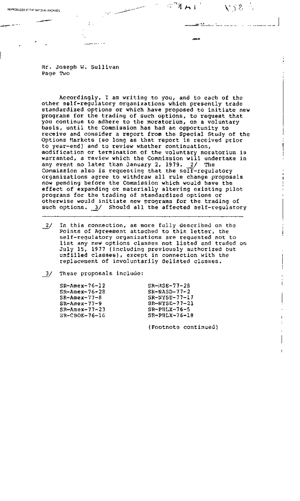**Mr. Joseph W.** Sullivan Page Two

REPRODUCED AT THE NATIONAL ARCHIVES . The national ARCHIVES . The national ARCHIVES . The national ARCHIVES . The national ARCHIVES . The national ARCHIVES . The national ARCHIVES . The national ARCHIVES . The national AR

 $\mathcal{L}$ .

Accordingly, I am writing to you, and to each of the other self-regulatory organizations which presently trade standardized options or which have proposed to initiate new programs for the trading of such options, to request that you continue to adhere to the moratorium, on a voluntary basis, until the Commission has had an opportunity to receive and consider a report from the Special Study of the Options Markets (so long as that report is received prior to year-end) and to review whether continuation, modification or termination of the voluntary moratorium is warranted, a review which the Commission will undertake in any event no later than January 2, 1979. 2/ The Commission also is requesting that the self-regulatory organizations agree to withdraw all rule change proposals now pending before the Commission which would have the effect of expanding or materially altering existing pilot programs for the trading of standardized options or otherwise would initiate new programs for the trading of such options. 3/ Should all the affected self-regulatory

 $\frac{2}{\sqrt{2}}$ In this connection, as more fully described on the Points of Agreement attached to this letter, the self-regulatory organizations are requested not to llst any new options classes not listed and traded on July 15, 1977 (including previously authorized but unfilled classes), except in connection with the replacement of involuntarily delisted classes.

 $3/$ These proposals include:

| $SR-Area-76-12$    | $SR-MSE-77-2R$  |
|--------------------|-----------------|
| $S_{R+Anex-76-28}$ | $SR-MASD-77-2$  |
| $SR-Anex-77-8$     | SR-NY5E-77-17   |
| $S_{R-MR+X-77-9}$  | $SR-NYSL-77-21$ |
| $SR-Answer+77-23$  | $SR-PILX-76-5$  |
| $S$ R-CBOE-76-16   | $SR-PHLX-76-18$ |
|                    |                 |

(Footnote continued)

いうと

<u>within the communication</u>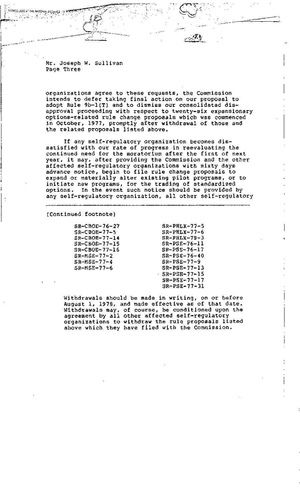Mr. Joseph W. Sullivan Page Three

.<br>PERRODUCEC AT THE NATIONAL ARCHIVES 19 2012年度 Li

> organizations agree to these requests, the Commission intends to defer taking final action on our proposal to adopt Rule 9b-l(T) and to dismiss our consolidated disapproval proceeding with respect to twenty-six expansionary optlons-related rule change proposals which was commenced in October, 1977, promptly after withdrawal of those and the related proposals listed above.

> If any self-regulatory organization becomes dissatisfied with our rate of progress in reevaluating the continued need for the moratorium after the first of next year, it may, after providing the Commission and the other affected self-regulatory organizations with sixty days advance notice, begin to file rule change proposals to expand or materially alter existing pilot programs, or to initiate new programs, for the trading of standardized options. In the event such notice should be provided by any self-regulatory organization, all other self-regulatory

(Continued footnote)

SR-CBOE-76-27 SR-CBOE-77-5 SR-CBOE-77-14 SR-CBOE-77-15 SR-CBOE-77-16 SR-MSE-77-2 SR-MSE-77-4 SR-MSE-77-6

SR-PHLX-77-5 SR-PHLX-77-6 SR-PHLX-78-3 SR-PSE-76-11 SR-PSE-76-17 SR-PSE-76-40 SR-PSE-77-9 SR-PSE-77-13 - SR-PSE-77-15 SR-PSE-77-17 SR-PSE-77-31

Withdrawals should be made in writing, on or before August i, 1978, and made effective as of that date. Withdrawals may, of course, be conditioned upon the agreement by all other affected self-regulatory organizations to withdraw the rule proposals listed above which they have filed with the Commission.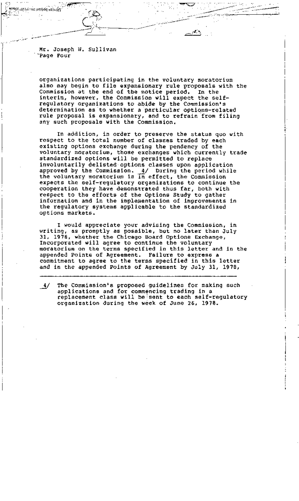Mr. Joseph W. Sullivan 'Page Four

*(;,:,~PRgD~F~D,ATTHE* NA~S~'~@~i~'~ ...... "< -- --' "~' " . . "., "j-C. :':' ~"~ 'i:: L': ' " ~"" ""'"/~'--~--~-:~1

organizations participating in the voluntary moratorium also may begin to file expansionary rule proposals with the Commission at the end of the notice period. In the interim, however, the Commission will expect the selfregulatory organizations to abide by the Commission's determination as to whether a particular options-related rule proposal is expansionary, and to refrain from filing any such proposals with the Commission.

**• ....~..\_-.f ~f-** ,.. .. '. T-- ..... ;..." **• - ,** ." ~-~ **.**  . i --:.'-'~ " . . ,.~ ~<: - "'. ~\_ \_\_ L

. In the second contract of the second contract of the second contract of the second contract of the second contract of the second contract of the second contract of the second contract of the second contract of the second

In addition, in order to preserve the status quo with respect to the total number of classes traded by each existing options exchange during the pendency of the voluntary moratorium, those exchanges which currently trade standardized options will be permitted to replace involuntarily dellsted-optlons classes upon application approved by the Commission. 4/ During the period while the voluntary moratorium is in effect, the Commission expects the self-regulatory organizations to continue the cooperation they have demonstrated thus far, both with respect to the efforts of the Options Study to gather information and in the implementation of improvements in the regulatory systems applicable to the standardized options markets.

I would appreciate your advising the Commission, in writing, as promptly as possible, but no later than July 31, 1978, whether theChicago Board Options Exchange, Incorporated will agree to continue the voluntary moratorium on the terms specified in this letter and in the appended Points of Agreement. Failure to express a commitment to agree to the terms specified in this letter and in the appended Points of Agreement by July 3!, 1978,

**4\_I** The Commission's proposed guidelines for making such applications and for comm@ncing trading in a replacement class will be!sent to each self-regulatory organization during the week of June 26, 1978.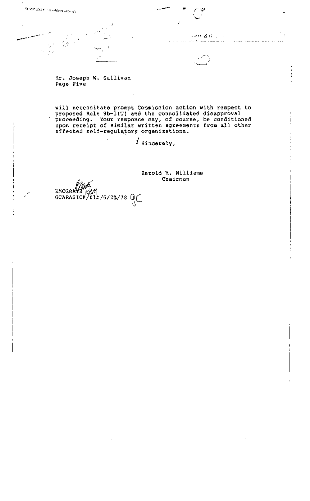التارية لانطاق  $\frac{1}{2}$  . The contract of  $\frac{1}{2}$  is the contract of  $\frac{1}{2}$ 

 $\sim$  1000  $\sim$  1000  $\sim$  1000  $\sim$  1000  $\sim$ 

f~

**Mr. Joseph W. Sullivan Page Five** 

, k"-.-

REPROOUCEO AT THE NATIONAL ARCHIVES

/" J,

**will necessitate prompt Commission action with respect to proposed Rule 9b-l(T) and the consolidated disapproval proceeding. Your response may, of course, be conditioned upon receipt of similar written agre4ments from all other affected self-regul~tory organizations.** 

• • S' /I **I**  $\sim$  /I  $\sim$  /I  $\sim$  /I  $\sim$  /I  $\sim$  /I  $\sim$ 

**] Sincerely,** 

**Harold M. Williams** 

KNCGR<del>\*</del> **GCARASICK/flb/6/22/78 QC**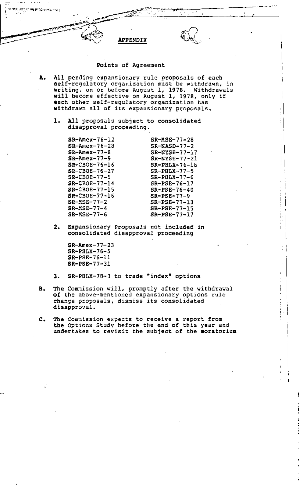APPENDIX **'** ,: ./~

## Points of Agreement

- **A.**  All pending expansionary rule proposals of each self-regulatory organization must be withdrawn, in writing, on or before August i, 1978. Withdrawals will become effective on August i, 1978, only if each other self-regulatory organization has withdrawn all of its expansionary proposals.
	- . All proposals subject to consolidated disapproval proceeding.

SR-Amex-76-12 SR-Amex-76-28 SR-Amex-77-8 SR-Amex-77-9 SR-CBOE-76-16 SR-CBOE-76-27 SR-CBOE-77-5 SR-CBOE-77-14 SR-CBOE-77-15 SR-CBOE-77-16 SR-MSE-77-2 SR-MSE-77-4 SR-MSE-77-6

~i[ "I~EPI~QDWCEDtAT THE'NAT ONAI.:',~RCH VES \_..j .,,,~ ~ ~'~"~ . **~1!'-~;i:-:.:'~'** .. : " .... :. :. .,,,,- **~--:;S:-~~:--:--~ ~.:'.,-'** 

SR-NASD-77-2 SR-NYSE-77-17 SR-NYSE-77-21 SR-PHLX-76-18 SR-PHLX-77-5 SR-PHLX-77-6 SR-PSE-76-17 SR-PSE-76-40 SR-PSE-77-9 SR-PSE-77-13 SR-PSE-77-15 SR-PSE-77-17

SR-MSE-77-28

- **2.**  Expansionary Proposals not included in consolidated disapproval proceeding
	- SR-Amex-77-23 SR-PHLX-76-5 SR-PSE-76-11 SR-PSE-77-31
- **.**  SR-PHLX-78-3 to trade "index" options
- **B.**  The Commission will, promptly after the withdrawal of the above-mentioned expansionary options rule change proposals, dismiss its consolidated disapproval.
- . The Commission expects to receive a report from the Options Study before the end of this year and undertakes to revisit the subject of the moratorium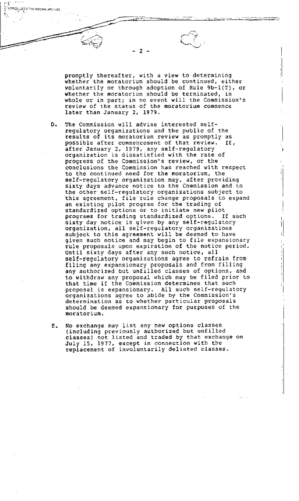promptly thereafter, with a view to determining whether the moratorium should be continued, either voluntarily or through adoption of Rule 9b-l(T), or whether the moratorium should be terminated, in whole or in part; in no event will the Commission's review of the status of the moratorium commence later than January 2, 1979.

- **D.**  The Commission will advise interested selfregulatory organizations and the public of the results of its moratorium review as promptly as possible after commencement of that review. If, after January 2, 1979, any self-regulatory organization is dissatisfied with the rate of progress of the commission's review, or the conclusions the Commission has reached with respect to the continued need for the moratorium, the self-regulatory organization may, after providing sixty days advance notice to the Commission and to the other self-regulatory organizations subject to this agreement, file rule change proposals to expand an existing pilot program for the trading of standardized options or to initiate new pilot programs for trading standardized options. If such sixty day notice is given by any self-regulatory organization, all self-regulatory organizations subject to this agreement will be deemed to have given such notice and maz begin to file expansionary rule proposals upon expiration of the notice period. Until sixty days after any such notice, all self-regulatory organizations agree to refrain from filing any expansionary proposals and from filling any authorized but unfilled classes of options, and to withdraw any proposal which may be filed prior to that time if the Commission determines that such proposal is expansionary. All such self-regulatory organizations agree to abide by the Commission's determination as to whether particular proposals should be deemed expansionary for purposes of the moratorium.
- **E.**  No exchange may list anynew options classes (including previously authorized but unfilled classes) not listed and traded by that exchange on July 15, 1977, except in connection with the replacement of involuntarily delisted classes.

**- 2 -** 

 ${\sf RO}_{\mathcal{G}}$ uegia? Ibe national archives

. The contract of the contract of the contract of the contract of the contract of the contract of the contract of the contract of the contract of the contract of the contract of the contract of the contract of the contrac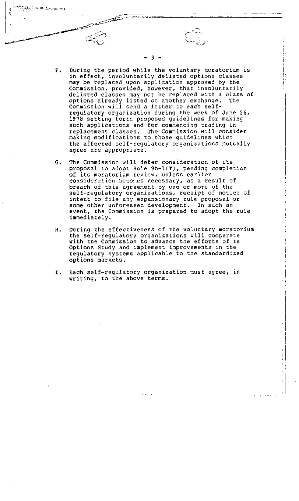- *F.*  During the perlod while the voluntary moratorium is in effect, involuntarily delisted options classes may be replaced upon application approved by the Commission, provided, however, that involuntarily delisted classes may not be replaced with a class of options already listed on another exchange. The Commission will send a letter to each selfregulatory organization during the week of June 26, 1978 setting forth proposed guidelines for making such applications and for commencing trading in replacement classes. The Commission will consider making modifications to those guidelines which the affected self-regulatory organizations mutually agree are appropriate.
- *G.*  The Commission will defer consideration of its proposal to adopt Rule 9b-l(T), pending completion of its moratorium review, unless earlier consideration becomes necessary, as a result of breach of this agreement by one or more of the self-regulatory organizations, receipt of notice of intent to file any expansionary rule proposal or some other unforeseen development. In such an event, the Commission is prepared to adopt the rule immediately.
- *H.*  During the effectiveness of the voluntary moratorium the self-regulatory organizations will cooperate with the Commission to advance the efforts of te Options Study and implement improvements in the regulatory systems applicable to the standardized options markets.
- **I.**  Each self-regulatory organization must agree, in writing, to the above terms.

"t/c.~

,R EPR'ODI96 ED~,~'T THE'NATI(3"NgL,,41~CFIJ~/ES